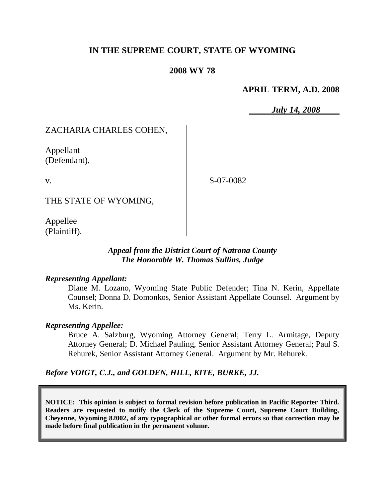# **IN THE SUPREME COURT, STATE OF WYOMING**

### **2008 WY 78**

#### **APRIL TERM, A.D. 2008**

*July 14, 2008*

# ZACHARIA CHARLES COHEN,

Appellant (Defendant),

v.

S-07-0082

THE STATE OF WYOMING,

Appellee (Plaintiff).

### *Appeal from the District Court of Natrona County The Honorable W. Thomas Sullins, Judge*

#### *Representing Appellant:*

Diane M. Lozano, Wyoming State Public Defender; Tina N. Kerin, Appellate Counsel; Donna D. Domonkos, Senior Assistant Appellate Counsel. Argument by Ms. Kerin.

#### *Representing Appellee:*

Bruce A. Salzburg, Wyoming Attorney General; Terry L. Armitage, Deputy Attorney General; D. Michael Pauling, Senior Assistant Attorney General; Paul S. Rehurek, Senior Assistant Attorney General. Argument by Mr. Rehurek.

*Before VOIGT, C.J., and GOLDEN, HILL, KITE, BURKE, JJ.*

**NOTICE: This opinion is subject to formal revision before publication in Pacific Reporter Third. Readers are requested to notify the Clerk of the Supreme Court, Supreme Court Building, Cheyenne, Wyoming 82002, of any typographical or other formal errors so that correction may be made before final publication in the permanent volume.**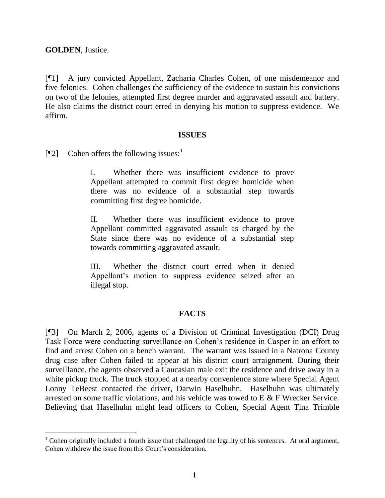**GOLDEN**, Justice.

 $\overline{a}$ 

[¶1] A jury convicted Appellant, Zacharia Charles Cohen, of one misdemeanor and five felonies. Cohen challenges the sufficiency of the evidence to sustain his convictions on two of the felonies, attempted first degree murder and aggravated assault and battery. He also claims the district court erred in denying his motion to suppress evidence. We affirm.

#### **ISSUES**

[ $[$ [2] Cohen offers the following issues:<sup>1</sup>

I. Whether there was insufficient evidence to prove Appellant attempted to commit first degree homicide when there was no evidence of a substantial step towards committing first degree homicide.

II. Whether there was insufficient evidence to prove Appellant committed aggravated assault as charged by the State since there was no evidence of a substantial step towards committing aggravated assault.

III. Whether the district court erred when it denied Appellant"s motion to suppress evidence seized after an illegal stop.

## **FACTS**

[¶3] On March 2, 2006, agents of a Division of Criminal Investigation (DCI) Drug Task Force were conducting surveillance on Cohen"s residence in Casper in an effort to find and arrest Cohen on a bench warrant. The warrant was issued in a Natrona County drug case after Cohen failed to appear at his district court arraignment. During their surveillance, the agents observed a Caucasian male exit the residence and drive away in a white pickup truck. The truck stopped at a nearby convenience store where Special Agent Lonny TeBeest contacted the driver, Darwin Haselhuhn. Haselhuhn was ultimately arrested on some traffic violations, and his vehicle was towed to E & F Wrecker Service. Believing that Haselhuhn might lead officers to Cohen, Special Agent Tina Trimble

<sup>&</sup>lt;sup>1</sup> Cohen originally included a fourth issue that challenged the legality of his sentences. At oral argument, Cohen withdrew the issue from this Court's consideration.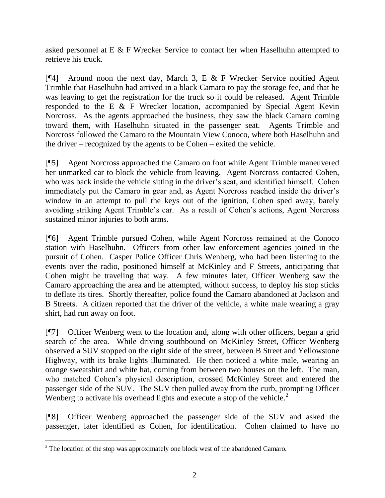asked personnel at E & F Wrecker Service to contact her when Haselhuhn attempted to retrieve his truck.

[¶4] Around noon the next day, March 3, E & F Wrecker Service notified Agent Trimble that Haselhuhn had arrived in a black Camaro to pay the storage fee, and that he was leaving to get the registration for the truck so it could be released. Agent Trimble responded to the E & F Wrecker location, accompanied by Special Agent Kevin Norcross. As the agents approached the business, they saw the black Camaro coming toward them, with Haselhuhn situated in the passenger seat. Agents Trimble and Norcross followed the Camaro to the Mountain View Conoco, where both Haselhuhn and the driver – recognized by the agents to be Cohen – exited the vehicle.

[¶5] Agent Norcross approached the Camaro on foot while Agent Trimble maneuvered her unmarked car to block the vehicle from leaving. Agent Norcross contacted Cohen, who was back inside the vehicle sitting in the driver's seat, and identified himself. Cohen immediately put the Camaro in gear and, as Agent Norcross reached inside the driver's window in an attempt to pull the keys out of the ignition, Cohen sped away, barely avoiding striking Agent Trimble"s car. As a result of Cohen"s actions, Agent Norcross sustained minor injuries to both arms.

[¶6] Agent Trimble pursued Cohen, while Agent Norcross remained at the Conoco station with Haselhuhn. Officers from other law enforcement agencies joined in the pursuit of Cohen. Casper Police Officer Chris Wenberg, who had been listening to the events over the radio, positioned himself at McKinley and F Streets, anticipating that Cohen might be traveling that way. A few minutes later, Officer Wenberg saw the Camaro approaching the area and he attempted, without success, to deploy his stop sticks to deflate its tires. Shortly thereafter, police found the Camaro abandoned at Jackson and B Streets. A citizen reported that the driver of the vehicle, a white male wearing a gray shirt, had run away on foot.

[¶7] Officer Wenberg went to the location and, along with other officers, began a grid search of the area. While driving southbound on McKinley Street, Officer Wenberg observed a SUV stopped on the right side of the street, between B Street and Yellowstone Highway, with its brake lights illuminated. He then noticed a white male, wearing an orange sweatshirt and white hat, coming from between two houses on the left. The man, who matched Cohen"s physical description, crossed McKinley Street and entered the passenger side of the SUV. The SUV then pulled away from the curb, prompting Officer Wenberg to activate his overhead lights and execute a stop of the vehicle. $2$ 

[¶8] Officer Wenberg approached the passenger side of the SUV and asked the passenger, later identified as Cohen, for identification. Cohen claimed to have no

 $\overline{a}$  $2^2$  The location of the stop was approximately one block west of the abandoned Camaro.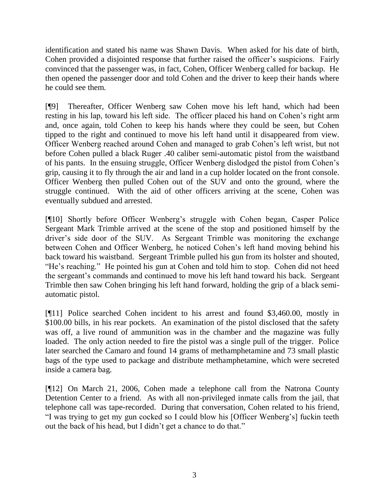identification and stated his name was Shawn Davis. When asked for his date of birth, Cohen provided a disjointed response that further raised the officer"s suspicions. Fairly convinced that the passenger was, in fact, Cohen, Officer Wenberg called for backup. He then opened the passenger door and told Cohen and the driver to keep their hands where he could see them.

[¶9] Thereafter, Officer Wenberg saw Cohen move his left hand, which had been resting in his lap, toward his left side. The officer placed his hand on Cohen"s right arm and, once again, told Cohen to keep his hands where they could be seen, but Cohen tipped to the right and continued to move his left hand until it disappeared from view. Officer Wenberg reached around Cohen and managed to grab Cohen"s left wrist, but not before Cohen pulled a black Ruger .40 caliber semi-automatic pistol from the waistband of his pants. In the ensuing struggle, Officer Wenberg dislodged the pistol from Cohen"s grip, causing it to fly through the air and land in a cup holder located on the front console. Officer Wenberg then pulled Cohen out of the SUV and onto the ground, where the struggle continued. With the aid of other officers arriving at the scene, Cohen was eventually subdued and arrested.

[¶10] Shortly before Officer Wenberg"s struggle with Cohen began, Casper Police Sergeant Mark Trimble arrived at the scene of the stop and positioned himself by the driver"s side door of the SUV. As Sergeant Trimble was monitoring the exchange between Cohen and Officer Wenberg, he noticed Cohen"s left hand moving behind his back toward his waistband. Sergeant Trimble pulled his gun from its holster and shouted, "He"s reaching." He pointed his gun at Cohen and told him to stop. Cohen did not heed the sergeant"s commands and continued to move his left hand toward his back. Sergeant Trimble then saw Cohen bringing his left hand forward, holding the grip of a black semiautomatic pistol.

[¶11] Police searched Cohen incident to his arrest and found \$3,460.00, mostly in \$100.00 bills, in his rear pockets. An examination of the pistol disclosed that the safety was off, a live round of ammunition was in the chamber and the magazine was fully loaded. The only action needed to fire the pistol was a single pull of the trigger. Police later searched the Camaro and found 14 grams of methamphetamine and 73 small plastic bags of the type used to package and distribute methamphetamine, which were secreted inside a camera bag.

[¶12] On March 21, 2006, Cohen made a telephone call from the Natrona County Detention Center to a friend. As with all non-privileged inmate calls from the jail, that telephone call was tape-recorded. During that conversation, Cohen related to his friend, "I was trying to get my gun cocked so I could blow his [Officer Wenberg"s] fuckin teeth out the back of his head, but I didn"t get a chance to do that."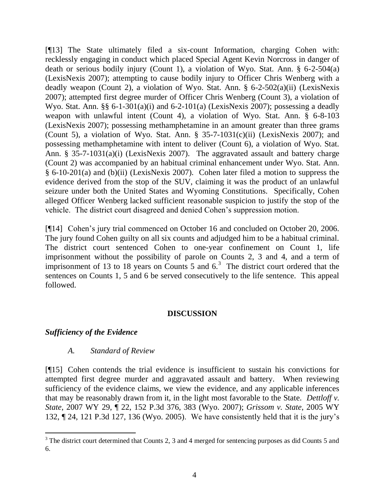[¶13] The State ultimately filed a six-count Information, charging Cohen with: recklessly engaging in conduct which placed Special Agent Kevin Norcross in danger of death or serious bodily injury (Count 1), a violation of Wyo. Stat. Ann. § 6-2-504(a) (LexisNexis 2007); attempting to cause bodily injury to Officer Chris Wenberg with a deadly weapon (Count 2), a violation of Wyo. Stat. Ann. § 6-2-502(a)(ii) (LexisNexis 2007); attempted first degree murder of Officer Chris Wenberg (Count 3), a violation of Wyo. Stat. Ann. §§ 6-1-301(a)(i) and 6-2-101(a) (LexisNexis 2007); possessing a deadly weapon with unlawful intent (Count 4), a violation of Wyo. Stat. Ann. § 6-8-103 (LexisNexis 2007); possessing methamphetamine in an amount greater than three grams (Count 5), a violation of Wyo. Stat. Ann.  $\S$  35-7-1031(c)(ii) (LexisNexis 2007); and possessing methamphetamine with intent to deliver (Count 6), a violation of Wyo. Stat. Ann. § 35-7-1031(a)(i) (LexisNexis 2007). The aggravated assault and battery charge (Count 2) was accompanied by an habitual criminal enhancement under Wyo. Stat. Ann. § 6-10-201(a) and (b)(ii) (LexisNexis 2007). Cohen later filed a motion to suppress the evidence derived from the stop of the SUV, claiming it was the product of an unlawful seizure under both the United States and Wyoming Constitutions. Specifically, Cohen alleged Officer Wenberg lacked sufficient reasonable suspicion to justify the stop of the vehicle. The district court disagreed and denied Cohen"s suppression motion.

[¶14] Cohen's jury trial commenced on October 16 and concluded on October 20, 2006. The jury found Cohen guilty on all six counts and adjudged him to be a habitual criminal. The district court sentenced Cohen to one-year confinement on Count 1, life imprisonment without the possibility of parole on Counts 2, 3 and 4, and a term of imprisonment of 13 to 18 years on Counts 5 and  $6<sup>3</sup>$ . The district court ordered that the sentences on Counts 1, 5 and 6 be served consecutively to the life sentence. This appeal followed.

## **DISCUSSION**

## *Sufficiency of the Evidence*

 $\overline{a}$ 

## *A. Standard of Review*

[¶15] Cohen contends the trial evidence is insufficient to sustain his convictions for attempted first degree murder and aggravated assault and battery. When reviewing sufficiency of the evidence claims, we view the evidence, and any applicable inferences that may be reasonably drawn from it, in the light most favorable to the State. *Dettloff v. State*, 2007 WY 29, ¶ 22, 152 P.3d 376, 383 (Wyo. 2007); *Grissom v. State*, 2005 WY 132, ¶ 24, 121 P.3d 127, 136 (Wyo. 2005). We have consistently held that it is the jury"s

 $3$  The district court determined that Counts 2, 3 and 4 merged for sentencing purposes as did Counts 5 and 6.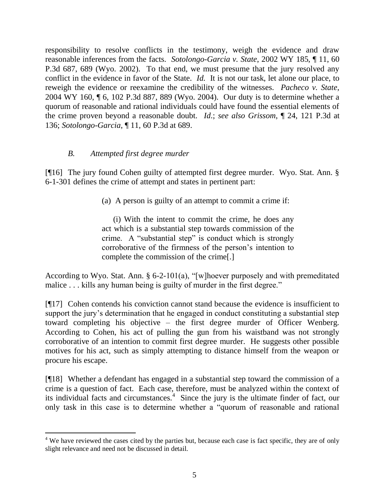responsibility to resolve conflicts in the testimony, weigh the evidence and draw reasonable inferences from the facts. *Sotolongo-Garcia v. State*, 2002 WY 185, ¶ 11, 60 P.3d 687, 689 (Wyo. 2002). To that end, we must presume that the jury resolved any conflict in the evidence in favor of the State. *Id.* It is not our task, let alone our place, to reweigh the evidence or reexamine the credibility of the witnesses. *Pacheco v. State*, 2004 WY 160, ¶ 6, 102 P.3d 887, 889 (Wyo. 2004). Our duty is to determine whether a quorum of reasonable and rational individuals could have found the essential elements of the crime proven beyond a reasonable doubt. *Id*.; *see also Grissom*, ¶ 24, 121 P.3d at 136; *Sotolongo-Garcia*, ¶ 11, 60 P.3d at 689.

## *B. Attempted first degree murder*

 $\overline{a}$ 

[¶16] The jury found Cohen guilty of attempted first degree murder. Wyo. Stat. Ann. § 6-1-301 defines the crime of attempt and states in pertinent part:

(a) A person is guilty of an attempt to commit a crime if:

(i) With the intent to commit the crime, he does any act which is a substantial step towards commission of the crime. A "substantial step" is conduct which is strongly corroborative of the firmness of the person"s intention to complete the commission of the crime[.]

According to Wyo. Stat. Ann. § 6-2-101(a), "[w]hoever purposely and with premeditated malice . . . kills any human being is guilty of murder in the first degree."

[¶17] Cohen contends his conviction cannot stand because the evidence is insufficient to support the jury's determination that he engaged in conduct constituting a substantial step toward completing his objective – the first degree murder of Officer Wenberg. According to Cohen, his act of pulling the gun from his waistband was not strongly corroborative of an intention to commit first degree murder. He suggests other possible motives for his act, such as simply attempting to distance himself from the weapon or procure his escape.

[¶18] Whether a defendant has engaged in a substantial step toward the commission of a crime is a question of fact. Each case, therefore, must be analyzed within the context of its individual facts and circumstances.<sup>4</sup> Since the jury is the ultimate finder of fact, our only task in this case is to determine whether a "quorum of reasonable and rational

 $4$  We have reviewed the cases cited by the parties but, because each case is fact specific, they are of only slight relevance and need not be discussed in detail.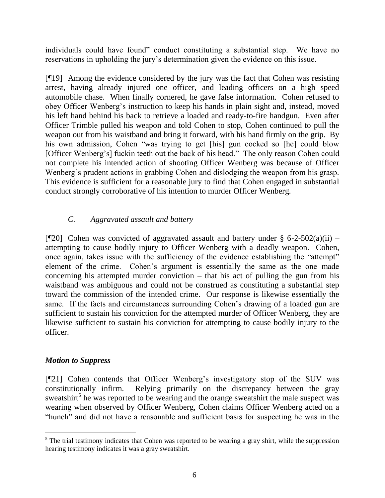individuals could have found" conduct constituting a substantial step. We have no reservations in upholding the jury"s determination given the evidence on this issue.

[¶19] Among the evidence considered by the jury was the fact that Cohen was resisting arrest, having already injured one officer, and leading officers on a high speed automobile chase. When finally cornered, he gave false information. Cohen refused to obey Officer Wenberg"s instruction to keep his hands in plain sight and, instead, moved his left hand behind his back to retrieve a loaded and ready-to-fire handgun. Even after Officer Trimble pulled his weapon and told Cohen to stop, Cohen continued to pull the weapon out from his waistband and bring it forward, with his hand firmly on the grip. By his own admission, Cohen "was trying to get [his] gun cocked so [he] could blow [Officer Wenberg"s] fuckin teeth out the back of his head." The only reason Cohen could not complete his intended action of shooting Officer Wenberg was because of Officer Wenberg's prudent actions in grabbing Cohen and dislodging the weapon from his grasp. This evidence is sufficient for a reasonable jury to find that Cohen engaged in substantial conduct strongly corroborative of his intention to murder Officer Wenberg.

# *C. Aggravated assault and battery*

[ $[$ [20] Cohen was convicted of aggravated assault and battery under § 6-2-502(a)(ii) – attempting to cause bodily injury to Officer Wenberg with a deadly weapon. Cohen, once again, takes issue with the sufficiency of the evidence establishing the "attempt" element of the crime. Cohen"s argument is essentially the same as the one made concerning his attempted murder conviction – that his act of pulling the gun from his waistband was ambiguous and could not be construed as constituting a substantial step toward the commission of the intended crime. Our response is likewise essentially the same. If the facts and circumstances surrounding Cohen"s drawing of a loaded gun are sufficient to sustain his conviction for the attempted murder of Officer Wenberg, they are likewise sufficient to sustain his conviction for attempting to cause bodily injury to the officer.

# *Motion to Suppress*

 $\overline{a}$ 

[¶21] Cohen contends that Officer Wenberg"s investigatory stop of the SUV was constitutionally infirm. Relying primarily on the discrepancy between the gray sweatshirt<sup>5</sup> he was reported to be wearing and the orange sweatshirt the male suspect was wearing when observed by Officer Wenberg, Cohen claims Officer Wenberg acted on a "hunch" and did not have a reasonable and sufficient basis for suspecting he was in the

 $<sup>5</sup>$  The trial testimony indicates that Cohen was reported to be wearing a gray shirt, while the suppression</sup> hearing testimony indicates it was a gray sweatshirt.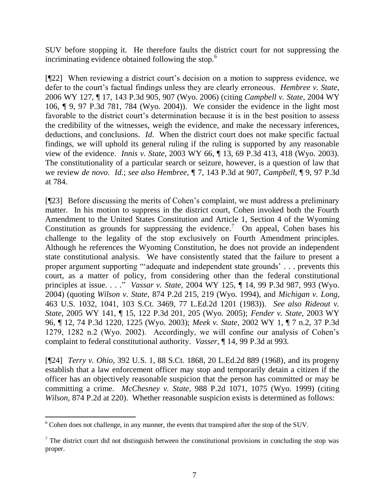SUV before stopping it. He therefore faults the district court for not suppressing the incriminating evidence obtained following the stop.<sup>6</sup>

[¶22] When reviewing a district court's decision on a motion to suppress evidence, we defer to the court's factual findings unless they are clearly erroneous. *Hembree v. State*, 2006 WY 127, ¶ 17, 143 P.3d 905, 907 (Wyo. 2006) (citing *Campbell v. State*, 2004 WY 106, ¶ 9, 97 P.3d 781, 784 (Wyo. 2004)). We consider the evidence in the light most favorable to the district court's determination because it is in the best position to assess the credibility of the witnesses, weigh the evidence, and make the necessary inferences, deductions, and conclusions. *Id*. When the district court does not make specific factual findings, we will uphold its general ruling if the ruling is supported by any reasonable view of the evidence. *Innis v. State*, 2003 WY 66, ¶ 13, 69 P.3d 413, 418 (Wyo. 2003). The constitutionality of a particular search or seizure, however, is a question of law that we review *de novo*. *Id*.; *see also Hembree*, ¶ 7, 143 P.3d at 907, *Campbell*, ¶ 9, 97 P.3d at 784.

[¶23] Before discussing the merits of Cohen"s complaint, we must address a preliminary matter. In his motion to suppress in the district court, Cohen invoked both the Fourth Amendment to the United States Constitution and Article 1, Section 4 of the Wyoming Constitution as grounds for suppressing the evidence.<sup>7</sup> On appeal, Cohen bases his challenge to the legality of the stop exclusively on Fourth Amendment principles. Although he references the Wyoming Constitution, he does not provide an independent state constitutional analysis. We have consistently stated that the failure to present a proper argument supporting ""adequate and independent state grounds" . . . prevents this court, as a matter of policy, from considering other than the federal constitutional principles at issue. . . ." *Vassar v. State*, 2004 WY 125, ¶ 14, 99 P.3d 987, 993 (Wyo. 2004) (quoting *Wilson v. State*, 874 P.2d 215, 219 (Wyo. 1994), and *Michigan v. Long*, 463 U.S. 1032, 1041, 103 S.Ct. 3469, 77 L.Ed.2d 1201 (1983)). *See also Rideout v. State*, 2005 WY 141, ¶ 15, 122 P.3d 201, 205 (Wyo. 2005); *Fender v. State*, 2003 WY 96, ¶ 12, 74 P.3d 1220, 1225 (Wyo. 2003); *Meek v. State*, 2002 WY 1, ¶ 7 n.2, 37 P.3d 1279, 1282 n.2 (Wyo. 2002). Accordingly, we will confine our analysis of Cohen"s complaint to federal constitutional authority. *Vasser*, ¶ 14, 99 P.3d at 993.

[¶24] *Terry v. Ohio*, 392 U.S. 1, 88 S.Ct. 1868, 20 L.Ed.2d 889 (1968), and its progeny establish that a law enforcement officer may stop and temporarily detain a citizen if the officer has an objectively reasonable suspicion that the person has committed or may be committing a crime. *McChesney v. State*, 988 P.2d 1071, 1075 (Wyo. 1999) (citing *Wilson*, 874 P.2d at 220). Whether reasonable suspicion exists is determined as follows:

 $\overline{a}$  $6$  Cohen does not challenge, in any manner, the events that transpired after the stop of the SUV.

 $<sup>7</sup>$  The district court did not distinguish between the constitutional provisions in concluding the stop was</sup> proper.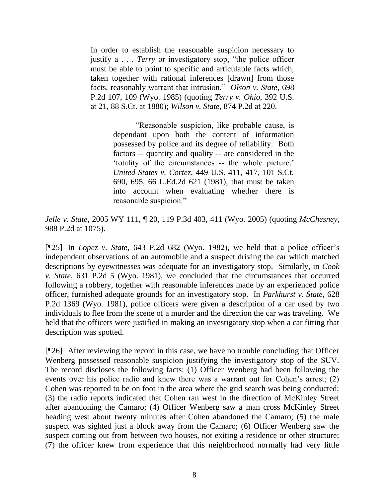In order to establish the reasonable suspicion necessary to justify a . . . *Terry* or investigatory stop, "the police officer must be able to point to specific and articulable facts which, taken together with rational inferences [drawn] from those facts, reasonably warrant that intrusion." *Olson v. State*, 698 P.2d 107, 109 (Wyo. 1985) (quoting *Terry v. Ohio*, 392 U.S. at 21, 88 S.Ct. at 1880); *Wilson v. State*, 874 P.2d at 220.

> "Reasonable suspicion, like probable cause, is dependant upon both the content of information possessed by police and its degree of reliability. Both factors -- quantity and quality -- are considered in the 'totality of the circumstances -- the whole picture,' *United States v. Cortez*, 449 U.S. 411, 417, 101 S.Ct. 690, 695, 66 L.Ed.2d 621 (1981), that must be taken into account when evaluating whether there is reasonable suspicion."

*Jelle v. State*, 2005 WY 111, ¶ 20, 119 P.3d 403, 411 (Wyo. 2005) (quoting *McChesney*, 988 P.2d at 1075).

[¶25] In *Lopez v. State*, 643 P.2d 682 (Wyo. 1982), we held that a police officer"s independent observations of an automobile and a suspect driving the car which matched descriptions by eyewitnesses was adequate for an investigatory stop. Similarly, in *Cook v. State*, 631 P.2d 5 (Wyo. 1981), we concluded that the circumstances that occurred following a robbery, together with reasonable inferences made by an experienced police officer, furnished adequate grounds for an investigatory stop. In *Parkhurst v. State*, 628 P.2d 1369 (Wyo. 1981), police officers were given a description of a car used by two individuals to flee from the scene of a murder and the direction the car was traveling. We held that the officers were justified in making an investigatory stop when a car fitting that description was spotted.

[¶26] After reviewing the record in this case, we have no trouble concluding that Officer Wenberg possessed reasonable suspicion justifying the investigatory stop of the SUV. The record discloses the following facts: (1) Officer Wenberg had been following the events over his police radio and knew there was a warrant out for Cohen's arrest; (2) Cohen was reported to be on foot in the area where the grid search was being conducted; (3) the radio reports indicated that Cohen ran west in the direction of McKinley Street after abandoning the Camaro; (4) Officer Wenberg saw a man cross McKinley Street heading west about twenty minutes after Cohen abandoned the Camaro; (5) the male suspect was sighted just a block away from the Camaro; (6) Officer Wenberg saw the suspect coming out from between two houses, not exiting a residence or other structure; (7) the officer knew from experience that this neighborhood normally had very little